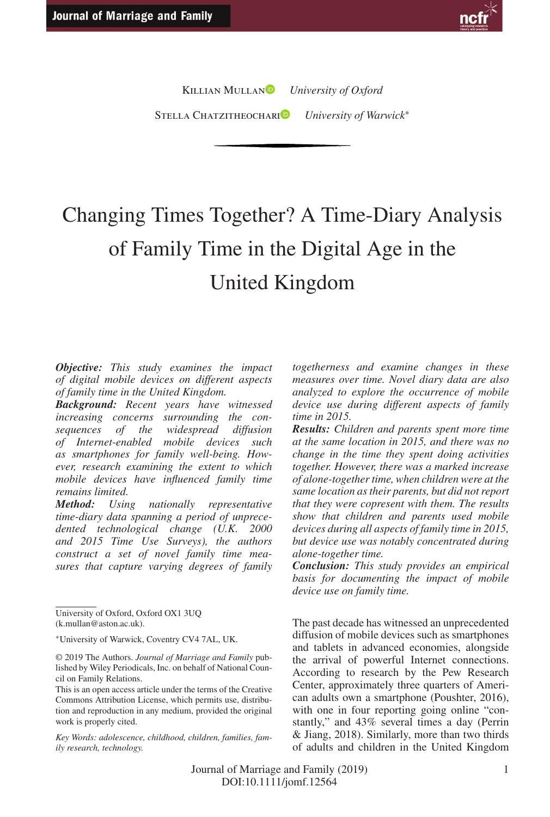

Killian Mulla[n](https://orcid.org/0000-0003-0027-037X) *University of Oxford* STELLA CHATZITHEOCHARI<sup>D</sup> Un[i](https://orcid.org/0000-0001-6773-3995)versity of Warwick<sup>∗</sup>

# Changing Times Together? A Time-Diary Analysis of Family Time in the Digital Age in the United Kingdom

*Objective: This study examines the impact of digital mobile devices on different aspects of family time in the United Kingdom.*

*Background: Recent years have witnessed increasing concerns surrounding the consequences of the widespread diffusion of Internet-enabled mobile devices such as smartphones for family well-being. However, research examining the extent to which mobile devices have influenced family time remains limited.*

*Method: Using nationally representative time-diary data spanning a period of unprecedented technological change (U.K. 2000 and 2015 Time Use Surveys), the authors construct a set of novel family time measures that capture varying degrees of family*

University of Oxford, Oxford OX1 3UQ (k.mullan@aston.ac.uk).

<sup>∗</sup>University of Warwick, Coventry CV4 7AL, UK.

© 2019 The Authors. *Journal of Marriage and Family* published by Wiley Periodicals, Inc. on behalf of National Council on Family Relations.

*Key Words: adolescence, childhood, children, families, family research, technology.*

*togetherness and examine changes in these measures over time. Novel diary data are also analyzed to explore the occurrence of mobile device use during different aspects of family time in 2015.*

*Results: Children and parents spent more time at the same location in 2015, and there was no change in the time they spent doing activities together. However, there was a marked increase of alone-together time, when children were at the same location as their parents, but did not report that they were copresent with them. The results show that children and parents used mobile devices during all aspects of family time in 2015, but device use was notably concentrated during alone-together time.*

*Conclusion: This study provides an empirical basis for documenting the impact of mobile device use on family time.*

The past decade has witnessed an unprecedented diffusion of mobile devices such as smartphones and tablets in advanced economies, alongside the arrival of powerful Internet connections. According to research by the Pew Research Center, approximately three quarters of American adults own a smartphone (Poushter, 2016), with one in four reporting going online "constantly," and 43% several times a day (Perrin & Jiang, 2018). Similarly, more than two thirds of adults and children in the United Kingdom

This is an open access article under the terms of the Creative Commons Attribution License, which permits use, distribution and reproduction in any medium, provided the original work is properly cited.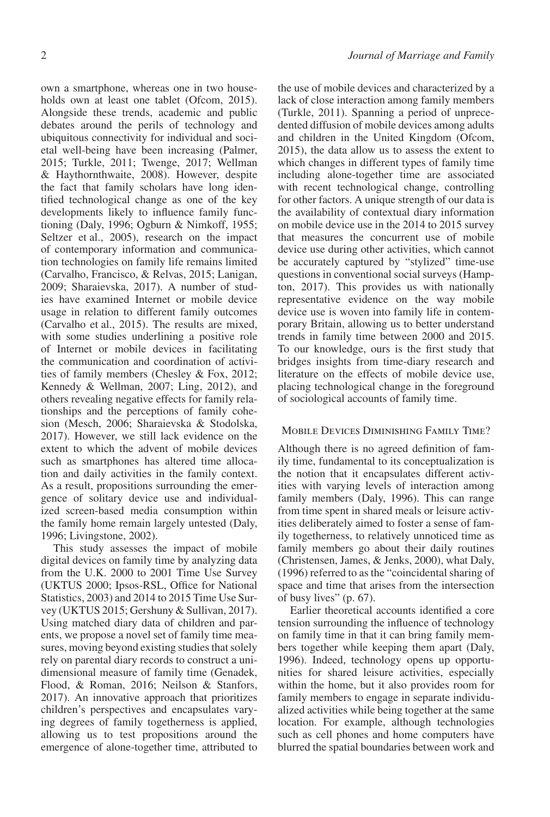own a smartphone, whereas one in two households own at least one tablet (Ofcom, 2015). Alongside these trends, academic and public debates around the perils of technology and ubiquitous connectivity for individual and societal well-being have been increasing (Palmer, 2015; Turkle, 2011; Twenge, 2017; Wellman & Haythornthwaite, 2008). However, despite the fact that family scholars have long identified technological change as one of the key developments likely to influence family functioning (Daly, 1996; Ogburn & Nimkoff, 1955; Seltzer et al., 2005), research on the impact of contemporary information and communication technologies on family life remains limited (Carvalho, Francisco, & Relvas, 2015; Lanigan, 2009; Sharaievska, 2017). A number of studies have examined Internet or mobile device usage in relation to different family outcomes (Carvalho et al., 2015). The results are mixed, with some studies underlining a positive role of Internet or mobile devices in facilitating the communication and coordination of activities of family members (Chesley & Fox, 2012; Kennedy & Wellman, 2007; Ling, 2012), and others revealing negative effects for family relationships and the perceptions of family cohesion (Mesch, 2006; Sharaievska & Stodolska, 2017). However, we still lack evidence on the extent to which the advent of mobile devices such as smartphones has altered time allocation and daily activities in the family context. As a result, propositions surrounding the emergence of solitary device use and individualized screen-based media consumption within

1996; Livingstone, 2002). This study assesses the impact of mobile digital devices on family time by analyzing data from the U.K. 2000 to 2001 Time Use Survey (UKTUS 2000; Ipsos-RSL, Office for National Statistics, 2003) and 2014 to 2015 Time Use Survey (UKTUS 2015; Gershuny & Sullivan, 2017). Using matched diary data of children and parents, we propose a novel set of family time measures, moving beyond existing studies that solely rely on parental diary records to construct a unidimensional measure of family time (Genadek, Flood, & Roman, 2016; Neilson & Stanfors, 2017). An innovative approach that prioritizes children's perspectives and encapsulates varying degrees of family togetherness is applied, allowing us to test propositions around the emergence of alone-together time, attributed to

the family home remain largely untested (Daly,

the use of mobile devices and characterized by a lack of close interaction among family members (Turkle, 2011). Spanning a period of unprecedented diffusion of mobile devices among adults and children in the United Kingdom (Ofcom, 2015), the data allow us to assess the extent to which changes in different types of family time including alone-together time are associated with recent technological change, controlling for other factors. A unique strength of our data is the availability of contextual diary information on mobile device use in the 2014 to 2015 survey that measures the concurrent use of mobile device use during other activities, which cannot be accurately captured by "stylized" time-use questions in conventional social surveys (Hampton, 2017). This provides us with nationally representative evidence on the way mobile device use is woven into family life in contemporary Britain, allowing us to better understand trends in family time between 2000 and 2015. To our knowledge, ours is the first study that bridges insights from time-diary research and literature on the effects of mobile device use, placing technological change in the foreground of sociological accounts of family time.

# Mobile Devices Diminishing Family Time?

Although there is no agreed definition of family time, fundamental to its conceptualization is the notion that it encapsulates different activities with varying levels of interaction among family members (Daly, 1996). This can range from time spent in shared meals or leisure activities deliberately aimed to foster a sense of family togetherness, to relatively unnoticed time as family members go about their daily routines (Christensen, James, & Jenks, 2000), what Daly, (1996) referred to as the "coincidental sharing of space and time that arises from the intersection of busy lives" (p. 67).

Earlier theoretical accounts identified a core tension surrounding the influence of technology on family time in that it can bring family members together while keeping them apart (Daly, 1996). Indeed, technology opens up opportunities for shared leisure activities, especially within the home, but it also provides room for family members to engage in separate individualized activities while being together at the same location. For example, although technologies such as cell phones and home computers have blurred the spatial boundaries between work and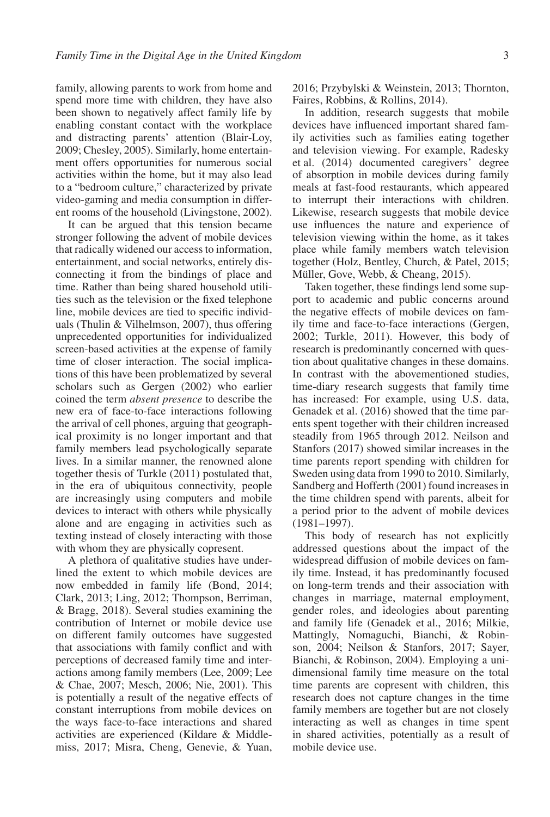family, allowing parents to work from home and spend more time with children, they have also been shown to negatively affect family life by enabling constant contact with the workplace and distracting parents' attention (Blair-Loy, 2009; Chesley, 2005). Similarly, home entertainment offers opportunities for numerous social activities within the home, but it may also lead to a "bedroom culture," characterized by private video-gaming and media consumption in different rooms of the household (Livingstone, 2002).

It can be argued that this tension became stronger following the advent of mobile devices that radically widened our access to information, entertainment, and social networks, entirely disconnecting it from the bindings of place and time. Rather than being shared household utilities such as the television or the fixed telephone line, mobile devices are tied to specific individuals (Thulin & Vilhelmson, 2007), thus offering unprecedented opportunities for individualized screen-based activities at the expense of family time of closer interaction. The social implications of this have been problematized by several scholars such as Gergen (2002) who earlier coined the term *absent presence* to describe the new era of face-to-face interactions following the arrival of cell phones, arguing that geographical proximity is no longer important and that family members lead psychologically separate lives. In a similar manner, the renowned alone together thesis of Turkle (2011) postulated that, in the era of ubiquitous connectivity, people are increasingly using computers and mobile devices to interact with others while physically alone and are engaging in activities such as texting instead of closely interacting with those with whom they are physically copresent.

A plethora of qualitative studies have underlined the extent to which mobile devices are now embedded in family life (Bond, 2014; Clark, 2013; Ling, 2012; Thompson, Berriman, & Bragg, 2018). Several studies examining the contribution of Internet or mobile device use on different family outcomes have suggested that associations with family conflict and with perceptions of decreased family time and interactions among family members (Lee, 2009; Lee & Chae, 2007; Mesch, 2006; Nie, 2001). This is potentially a result of the negative effects of constant interruptions from mobile devices on the ways face-to-face interactions and shared activities are experienced (Kildare & Middlemiss, 2017; Misra, Cheng, Genevie, & Yuan,

2016; Przybylski & Weinstein, 2013; Thornton, Faires, Robbins, & Rollins, 2014).

In addition, research suggests that mobile devices have influenced important shared family activities such as families eating together and television viewing. For example, Radesky et al. (2014) documented caregivers' degree of absorption in mobile devices during family meals at fast-food restaurants, which appeared to interrupt their interactions with children. Likewise, research suggests that mobile device use influences the nature and experience of television viewing within the home, as it takes place while family members watch television together (Holz, Bentley, Church, & Patel, 2015; Müller, Gove, Webb, & Cheang, 2015).

Taken together, these findings lend some support to academic and public concerns around the negative effects of mobile devices on family time and face-to-face interactions (Gergen, 2002; Turkle, 2011). However, this body of research is predominantly concerned with question about qualitative changes in these domains. In contrast with the abovementioned studies, time-diary research suggests that family time has increased: For example, using U.S. data, Genadek et al. (2016) showed that the time parents spent together with their children increased steadily from 1965 through 2012. Neilson and Stanfors (2017) showed similar increases in the time parents report spending with children for Sweden using data from 1990 to 2010. Similarly, Sandberg and Hofferth (2001) found increases in the time children spend with parents, albeit for a period prior to the advent of mobile devices (1981–1997).

This body of research has not explicitly addressed questions about the impact of the widespread diffusion of mobile devices on family time. Instead, it has predominantly focused on long-term trends and their association with changes in marriage, maternal employment, gender roles, and ideologies about parenting and family life (Genadek et al., 2016; Milkie, Mattingly, Nomaguchi, Bianchi, & Robinson, 2004; Neilson & Stanfors, 2017; Sayer, Bianchi, & Robinson, 2004). Employing a unidimensional family time measure on the total time parents are copresent with children, this research does not capture changes in the time family members are together but are not closely interacting as well as changes in time spent in shared activities, potentially as a result of mobile device use.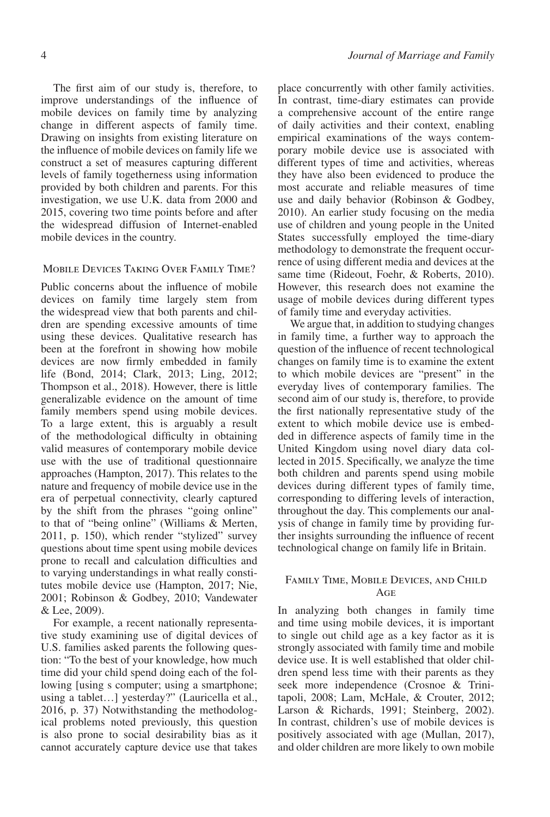The first aim of our study is, therefore, to improve understandings of the influence of mobile devices on family time by analyzing change in different aspects of family time. Drawing on insights from existing literature on the influence of mobile devices on family life we construct a set of measures capturing different levels of family togetherness using information provided by both children and parents. For this investigation, we use U.K. data from 2000 and 2015, covering two time points before and after the widespread diffusion of Internet-enabled mobile devices in the country.

# Mobile Devices Taking Over Family Time?

Public concerns about the influence of mobile devices on family time largely stem from the widespread view that both parents and children are spending excessive amounts of time using these devices. Qualitative research has been at the forefront in showing how mobile devices are now firmly embedded in family life (Bond, 2014; Clark, 2013; Ling, 2012; Thompson et al., 2018). However, there is little generalizable evidence on the amount of time family members spend using mobile devices. To a large extent, this is arguably a result of the methodological difficulty in obtaining valid measures of contemporary mobile device use with the use of traditional questionnaire approaches (Hampton, 2017). This relates to the nature and frequency of mobile device use in the era of perpetual connectivity, clearly captured by the shift from the phrases "going online" to that of "being online" (Williams & Merten, 2011, p. 150), which render "stylized" survey questions about time spent using mobile devices prone to recall and calculation difficulties and to varying understandings in what really constitutes mobile device use (Hampton, 2017; Nie, 2001; Robinson & Godbey, 2010; Vandewater & Lee, 2009).

For example, a recent nationally representative study examining use of digital devices of U.S. families asked parents the following question: "To the best of your knowledge, how much time did your child spend doing each of the following [using s computer; using a smartphone; using a tablet…] yesterday?" (Lauricella et al., 2016, p. 37) Notwithstanding the methodological problems noted previously, this question is also prone to social desirability bias as it cannot accurately capture device use that takes place concurrently with other family activities. In contrast, time-diary estimates can provide a comprehensive account of the entire range of daily activities and their context, enabling empirical examinations of the ways contemporary mobile device use is associated with different types of time and activities, whereas they have also been evidenced to produce the most accurate and reliable measures of time use and daily behavior (Robinson & Godbey, 2010). An earlier study focusing on the media use of children and young people in the United States successfully employed the time-diary methodology to demonstrate the frequent occurrence of using different media and devices at the same time (Rideout, Foehr, & Roberts, 2010). However, this research does not examine the usage of mobile devices during different types of family time and everyday activities.

We argue that, in addition to studying changes in family time, a further way to approach the question of the influence of recent technological changes on family time is to examine the extent to which mobile devices are "present" in the everyday lives of contemporary families. The second aim of our study is, therefore, to provide the first nationally representative study of the extent to which mobile device use is embedded in difference aspects of family time in the United Kingdom using novel diary data collected in 2015. Specifically, we analyze the time both children and parents spend using mobile devices during different types of family time, corresponding to differing levels of interaction, throughout the day. This complements our analysis of change in family time by providing further insights surrounding the influence of recent technological change on family life in Britain.

## Family Time, Mobile Devices, and Child **AGE**

In analyzing both changes in family time and time using mobile devices, it is important to single out child age as a key factor as it is strongly associated with family time and mobile device use. It is well established that older children spend less time with their parents as they seek more independence (Crosnoe & Trinitapoli, 2008; Lam, McHale, & Crouter, 2012; Larson & Richards, 1991; Steinberg, 2002). In contrast, children's use of mobile devices is positively associated with age (Mullan, 2017), and older children are more likely to own mobile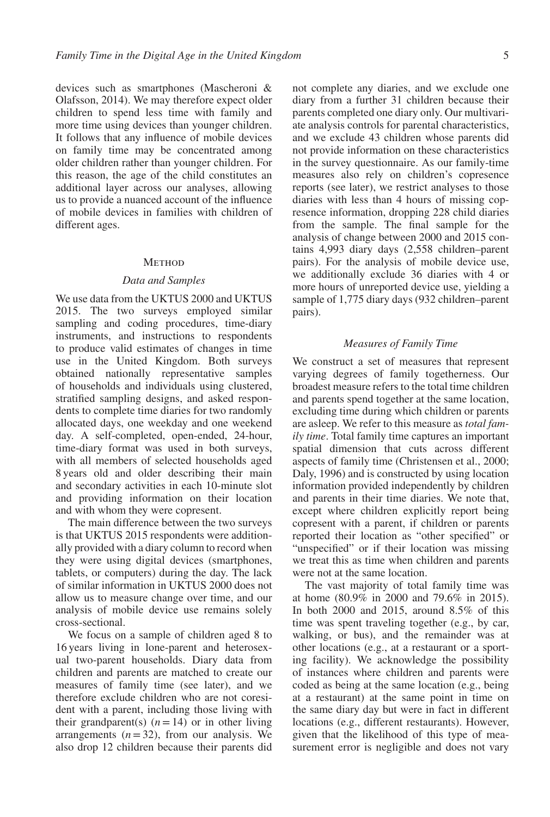devices such as smartphones (Mascheroni & Olafsson, 2014). We may therefore expect older children to spend less time with family and more time using devices than younger children. It follows that any influence of mobile devices on family time may be concentrated among older children rather than younger children. For this reason, the age of the child constitutes an additional layer across our analyses, allowing us to provide a nuanced account of the influence of mobile devices in families with children of different ages.

## **METHOD**

## *Data and Samples*

We use data from the UKTUS 2000 and UKTUS 2015. The two surveys employed similar sampling and coding procedures, time-diary instruments, and instructions to respondents to produce valid estimates of changes in time use in the United Kingdom. Both surveys obtained nationally representative samples of households and individuals using clustered, stratified sampling designs, and asked respondents to complete time diaries for two randomly allocated days, one weekday and one weekend day. A self-completed, open-ended, 24-hour, time-diary format was used in both surveys, with all members of selected households aged 8 years old and older describing their main and secondary activities in each 10-minute slot and providing information on their location and with whom they were copresent.

The main difference between the two surveys is that UKTUS 2015 respondents were additionally provided with a diary column to record when they were using digital devices (smartphones, tablets, or computers) during the day. The lack of similar information in UKTUS 2000 does not allow us to measure change over time, and our analysis of mobile device use remains solely cross-sectional.

We focus on a sample of children aged 8 to 16 years living in lone-parent and heterosexual two-parent households. Diary data from children and parents are matched to create our measures of family time (see later), and we therefore exclude children who are not coresident with a parent, including those living with their grandparent(s)  $(n=14)$  or in other living arrangements  $(n=32)$ , from our analysis. We also drop 12 children because their parents did not complete any diaries, and we exclude one diary from a further 31 children because their parents completed one diary only. Our multivariate analysis controls for parental characteristics, and we exclude 43 children whose parents did not provide information on these characteristics in the survey questionnaire. As our family-time measures also rely on children's copresence reports (see later), we restrict analyses to those diaries with less than 4 hours of missing copresence information, dropping 228 child diaries from the sample. The final sample for the analysis of change between 2000 and 2015 contains 4,993 diary days (2,558 children–parent pairs). For the analysis of mobile device use, we additionally exclude 36 diaries with 4 or more hours of unreported device use, yielding a sample of 1,775 diary days (932 children–parent pairs).

## *Measures of Family Time*

We construct a set of measures that represent varying degrees of family togetherness. Our broadest measure refers to the total time children and parents spend together at the same location, excluding time during which children or parents are asleep. We refer to this measure as *total family time*. Total family time captures an important spatial dimension that cuts across different aspects of family time (Christensen et al., 2000; Daly, 1996) and is constructed by using location information provided independently by children and parents in their time diaries. We note that, except where children explicitly report being copresent with a parent, if children or parents reported their location as "other specified" or "unspecified" or if their location was missing we treat this as time when children and parents were not at the same location.

The vast majority of total family time was at home (80.9% in 2000 and 79.6% in 2015). In both 2000 and 2015, around 8.5% of this time was spent traveling together (e.g., by car, walking, or bus), and the remainder was at other locations (e.g., at a restaurant or a sporting facility). We acknowledge the possibility of instances where children and parents were coded as being at the same location (e.g., being at a restaurant) at the same point in time on the same diary day but were in fact in different locations (e.g., different restaurants). However, given that the likelihood of this type of measurement error is negligible and does not vary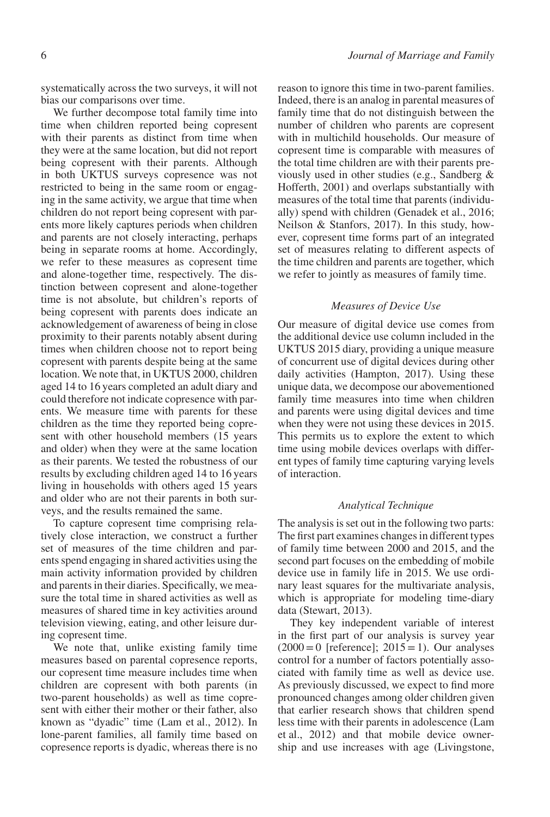systematically across the two surveys, it will not bias our comparisons over time.

We further decompose total family time into time when children reported being copresent with their parents as distinct from time when they were at the same location, but did not report being copresent with their parents. Although in both UKTUS surveys copresence was not restricted to being in the same room or engaging in the same activity, we argue that time when children do not report being copresent with parents more likely captures periods when children and parents are not closely interacting, perhaps being in separate rooms at home. Accordingly, we refer to these measures as copresent time and alone-together time, respectively. The distinction between copresent and alone-together time is not absolute, but children's reports of being copresent with parents does indicate an acknowledgement of awareness of being in close proximity to their parents notably absent during times when children choose not to report being copresent with parents despite being at the same location. We note that, in UKTUS 2000, children aged 14 to 16 years completed an adult diary and could therefore not indicate copresence with parents. We measure time with parents for these children as the time they reported being copresent with other household members (15 years and older) when they were at the same location as their parents. We tested the robustness of our results by excluding children aged 14 to 16 years living in households with others aged 15 years and older who are not their parents in both surveys, and the results remained the same.

To capture copresent time comprising relatively close interaction, we construct a further set of measures of the time children and parents spend engaging in shared activities using the main activity information provided by children and parents in their diaries. Specifically, we measure the total time in shared activities as well as measures of shared time in key activities around television viewing, eating, and other leisure during copresent time.

We note that, unlike existing family time measures based on parental copresence reports, our copresent time measure includes time when children are copresent with both parents (in two-parent households) as well as time copresent with either their mother or their father, also known as "dyadic" time (Lam et al., 2012). In lone-parent families, all family time based on copresence reports is dyadic, whereas there is no reason to ignore this time in two-parent families. Indeed, there is an analog in parental measures of family time that do not distinguish between the number of children who parents are copresent with in multichild households. Our measure of copresent time is comparable with measures of the total time children are with their parents previously used in other studies (e.g., Sandberg & Hofferth, 2001) and overlaps substantially with measures of the total time that parents (individually) spend with children (Genadek et al., 2016; Neilson & Stanfors, 2017). In this study, however, copresent time forms part of an integrated set of measures relating to different aspects of the time children and parents are together, which we refer to jointly as measures of family time.

# *Measures of Device Use*

Our measure of digital device use comes from the additional device use column included in the UKTUS 2015 diary, providing a unique measure of concurrent use of digital devices during other daily activities (Hampton, 2017). Using these unique data, we decompose our abovementioned family time measures into time when children and parents were using digital devices and time when they were not using these devices in 2015. This permits us to explore the extent to which time using mobile devices overlaps with different types of family time capturing varying levels of interaction.

## *Analytical Technique*

The analysis is set out in the following two parts: The first part examines changes in different types of family time between 2000 and 2015, and the second part focuses on the embedding of mobile device use in family life in 2015. We use ordinary least squares for the multivariate analysis, which is appropriate for modeling time-diary data (Stewart, 2013).

They key independent variable of interest in the first part of our analysis is survey year  $(2000=0$  [reference];  $2015=1$ ). Our analyses control for a number of factors potentially associated with family time as well as device use. As previously discussed, we expect to find more pronounced changes among older children given that earlier research shows that children spend less time with their parents in adolescence (Lam et al., 2012) and that mobile device ownership and use increases with age (Livingstone,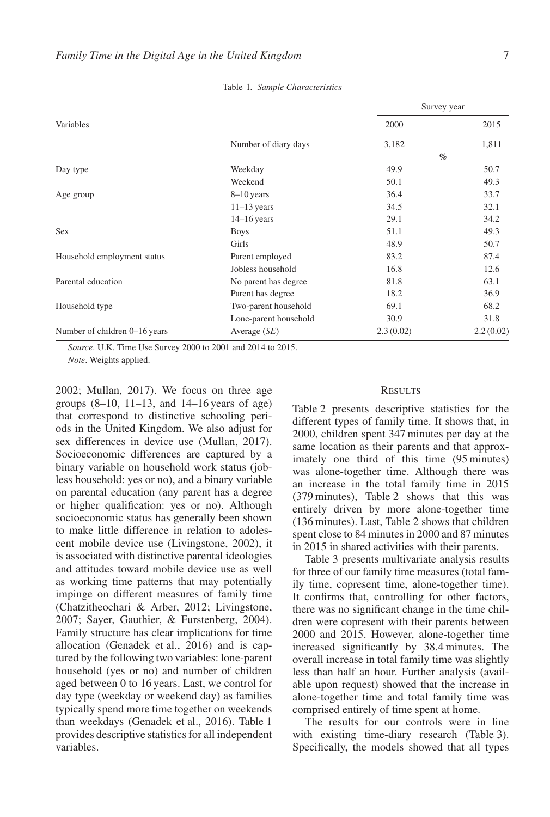|                               |                       |           | Survey year |
|-------------------------------|-----------------------|-----------|-------------|
| Variables                     |                       | 2000      | 2015        |
|                               | Number of diary days  | 3,182     | 1,811       |
|                               |                       |           | $\%$        |
| Day type                      | Weekday               | 49.9      | 50.7        |
|                               | Weekend               | 50.1      | 49.3        |
| Age group                     | $8-10$ years          | 36.4      | 33.7        |
|                               | $11-13$ years         | 34.5      | 32.1        |
|                               | $14-16$ years         | 29.1      | 34.2        |
| <b>Sex</b>                    | <b>Boys</b>           | 51.1      | 49.3        |
|                               | Girls                 | 48.9      | 50.7        |
| Household employment status   | Parent employed       | 83.2      | 87.4        |
|                               | Jobless household     | 16.8      | 12.6        |
| Parental education            | No parent has degree  | 81.8      | 63.1        |
|                               | Parent has degree     | 18.2      | 36.9        |
| Household type                | Two-parent household  | 69.1      | 68.2        |
|                               | Lone-parent household | 30.9      | 31.8        |
| Number of children 0–16 years | Average $(SE)$        | 2.3(0.02) | 2.2(0.02)   |

Table 1*. Sample Characteristics*

*Source*. U.K. Time Use Survey 2000 to 2001 and 2014 to 2015. *Note*. Weights applied.

2002; Mullan, 2017). We focus on three age groups (8–10, 11–13, and 14–16 years of age) that correspond to distinctive schooling periods in the United Kingdom. We also adjust for sex differences in device use (Mullan, 2017). Socioeconomic differences are captured by a binary variable on household work status (jobless household: yes or no), and a binary variable on parental education (any parent has a degree or higher qualification: yes or no). Although socioeconomic status has generally been shown to make little difference in relation to adolescent mobile device use (Livingstone, 2002), it is associated with distinctive parental ideologies and attitudes toward mobile device use as well as working time patterns that may potentially impinge on different measures of family time (Chatzitheochari & Arber, 2012; Livingstone, 2007; Sayer, Gauthier, & Furstenberg, 2004). Family structure has clear implications for time allocation (Genadek et al., 2016) and is captured by the following two variables: lone-parent household (yes or no) and number of children aged between 0 to 16 years. Last, we control for day type (weekday or weekend day) as families typically spend more time together on weekends than weekdays (Genadek et al., 2016). Table 1 provides descriptive statistics for all independent variables.

# **RESULTS**

Table 2 presents descriptive statistics for the different types of family time. It shows that, in 2000, children spent 347 minutes per day at the same location as their parents and that approximately one third of this time (95 minutes) was alone-together time. Although there was an increase in the total family time in 2015 (379 minutes), Table 2 shows that this was entirely driven by more alone-together time (136 minutes). Last, Table 2 shows that children spent close to 84 minutes in 2000 and 87 minutes in 2015 in shared activities with their parents.

Table 3 presents multivariate analysis results for three of our family time measures (total family time, copresent time, alone-together time). It confirms that, controlling for other factors, there was no significant change in the time children were copresent with their parents between 2000 and 2015. However, alone-together time increased significantly by 38.4 minutes. The overall increase in total family time was slightly less than half an hour. Further analysis (available upon request) showed that the increase in alone-together time and total family time was comprised entirely of time spent at home.

The results for our controls were in line with existing time-diary research (Table 3). Specifically, the models showed that all types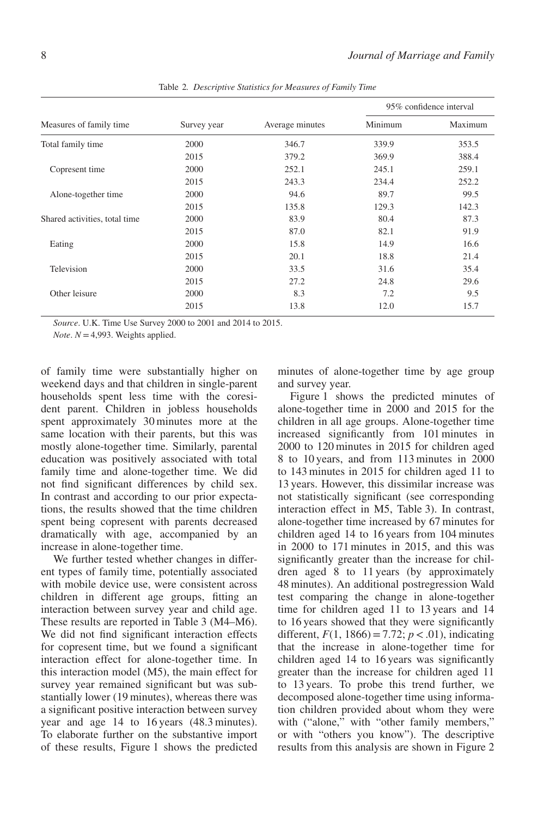|                               |             |                 | 95% confidence interval |         |  |
|-------------------------------|-------------|-----------------|-------------------------|---------|--|
| Measures of family time       | Survey year | Average minutes | Minimum                 | Maximum |  |
| Total family time             | 2000        | 346.7           | 339.9                   | 353.5   |  |
|                               | 2015        | 379.2           | 369.9                   | 388.4   |  |
| Copresent time                | 2000        | 252.1           | 245.1                   | 259.1   |  |
|                               | 2015        | 243.3           | 234.4                   | 252.2   |  |
| Alone-together time           | 2000        | 94.6            | 89.7                    | 99.5    |  |
|                               | 2015        | 135.8           | 129.3                   | 142.3   |  |
| Shared activities, total time | 2000        | 83.9            | 80.4                    | 87.3    |  |
|                               | 2015        | 87.0            | 82.1                    | 91.9    |  |
| Eating                        | 2000        | 15.8            | 14.9                    | 16.6    |  |
|                               | 2015        | 20.1            | 18.8                    | 21.4    |  |
| Television                    | 2000        | 33.5            | 31.6                    | 35.4    |  |
|                               | 2015        | 27.2            | 24.8                    | 29.6    |  |
| Other leisure                 | 2000        | 8.3             | 7.2                     | 9.5     |  |
|                               | 2015        | 13.8            | 12.0                    | 15.7    |  |

Table 2*. Descriptive Statistics for Measures of Family Time*

*Source*. U.K. Time Use Survey 2000 to 2001 and 2014 to 2015.

*Note*.  $N = 4,993$ . Weights applied.

of family time were substantially higher on weekend days and that children in single-parent households spent less time with the coresident parent. Children in jobless households spent approximately 30 minutes more at the same location with their parents, but this was mostly alone-together time. Similarly, parental education was positively associated with total family time and alone-together time. We did not find significant differences by child sex. In contrast and according to our prior expectations, the results showed that the time children spent being copresent with parents decreased dramatically with age, accompanied by an increase in alone-together time.

We further tested whether changes in different types of family time, potentially associated with mobile device use, were consistent across children in different age groups, fitting an interaction between survey year and child age. These results are reported in Table 3 (M4–M6). We did not find significant interaction effects for copresent time, but we found a significant interaction effect for alone-together time. In this interaction model (M5), the main effect for survey year remained significant but was substantially lower (19 minutes), whereas there was a significant positive interaction between survey year and age 14 to 16 years (48.3 minutes). To elaborate further on the substantive import of these results, Figure 1 shows the predicted minutes of alone-together time by age group and survey year.

Figure 1 shows the predicted minutes of alone-together time in 2000 and 2015 for the children in all age groups. Alone-together time increased significantly from 101 minutes in 2000 to 120 minutes in 2015 for children aged 8 to 10 years, and from 113 minutes in 2000 to 143 minutes in 2015 for children aged 11 to 13 years. However, this dissimilar increase was not statistically significant (see corresponding interaction effect in M5, Table 3). In contrast, alone-together time increased by 67 minutes for children aged 14 to 16 years from 104 minutes in 2000 to 171 minutes in 2015, and this was significantly greater than the increase for children aged 8 to 11 years (by approximately 48 minutes). An additional postregression Wald test comparing the change in alone-together time for children aged 11 to 13 years and 14 to 16 years showed that they were significantly different,  $F(1, 1866) = 7.72$ ;  $p < .01$ ), indicating that the increase in alone-together time for children aged 14 to 16 years was significantly greater than the increase for children aged 11 to 13 years. To probe this trend further, we decomposed alone-together time using information children provided about whom they were with ("alone," with "other family members," or with "others you know"). The descriptive results from this analysis are shown in Figure 2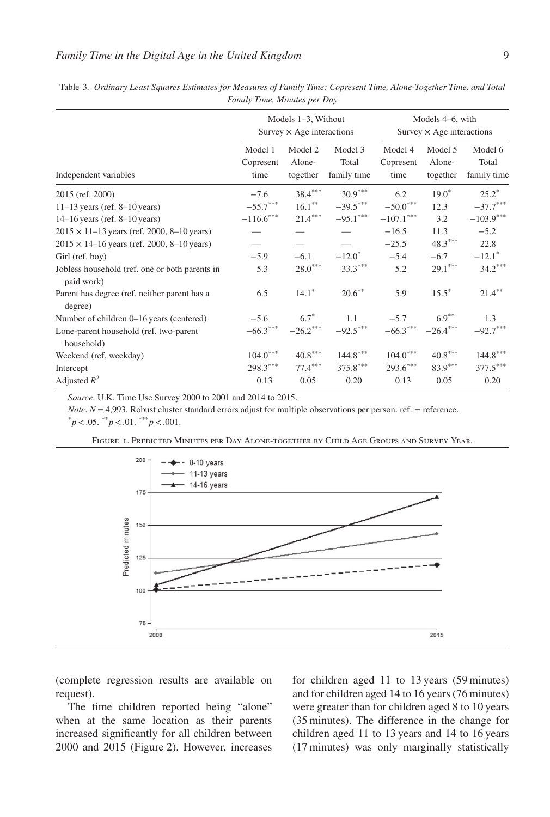|                                                              |                                 | Models $1-3$ , Without<br>Survey $\times$ Age interactions |                                 | Models 4–6, with<br>Survey $\times$ Age interactions |                               |                                 |
|--------------------------------------------------------------|---------------------------------|------------------------------------------------------------|---------------------------------|------------------------------------------------------|-------------------------------|---------------------------------|
| Independent variables                                        | Model 1<br>Copresent<br>time    | Model 2<br>Alone-<br>together                              | Model 3<br>Total<br>family time | Model 4<br>Copresent<br>time                         | Model 5<br>Alone-<br>together | Model 6<br>Total<br>family time |
| 2015 (ref. 2000)                                             | $-7.6$                          | $38.4***$                                                  | $30.9***$                       | 6.2                                                  | $19.0*$                       | $25.2^*$                        |
| $11-13$ years (ref. 8-10 years)                              | $-55.7***$                      | $16.1***$                                                  | $-39.5***$                      | $-50.0***$                                           | 12.3                          | $-37.7***$                      |
| $14-16$ years (ref. $8-10$ years)                            | $-116.6***$                     | $21.4***$                                                  | $-95.1***$                      | $-107.1***$                                          | 3.2                           | $-103.9***$                     |
| $2015 \times 11 - 13$ years (ref. 2000, 8-10 years)          | $\hspace{0.1mm}-\hspace{0.1mm}$ |                                                            |                                 | $-16.5$                                              | 11.3                          | $-5.2$                          |
| $2015 \times 14 - 16$ years (ref. 2000, 8-10 years)          | $\overline{\phantom{0}}$        |                                                            |                                 | $-25.5$                                              | $48.3***$                     | 22.8                            |
| Girl (ref. boy)                                              | $-5.9$                          | $-6.1$                                                     | $-12.0$ <sup>*</sup>            | $-5.4$                                               | $-6.7$                        | $-12.1$ <sup>*</sup>            |
| Jobless household (ref. one or both parents in<br>paid work) | 5.3                             | $28.0***$                                                  | $33.3***$                       | 5.2                                                  | $29.1***$                     | $34.2***$                       |
| Parent has degree (ref. neither parent has a<br>degree)      | 6.5                             | $14.1*$                                                    | $20.6***$                       | 5.9                                                  | $15.5^*$                      | $21.4***$                       |
| Number of children 0–16 years (centered)                     | $-5.6$                          | $6.7^*$                                                    | 1.1                             | $-5.7$                                               | $6.9***$                      | 1.3                             |
| Lone-parent household (ref. two-parent<br>household)         | $-66.3***$                      | $-26.2***$                                                 | $-92.5***$                      | $-66.3***$                                           | $-26.4***$                    | $-92.7***$                      |
| Weekend (ref. weekday)                                       | $104.0^\mathrm{***}$            | $40.8***$                                                  | $144.8***$                      | $104.0^\mathrm{***}$                                 | $40.8***$                     | $144.8^{\ast\ast\ast}$          |
| Intercept                                                    | $298.3***$                      | $77.4***$                                                  | $375.8***$                      | $293.6***$                                           | $83.9***$                     | $377.5***$                      |
| Adjusted $R^2$                                               | 0.13                            | 0.05                                                       | 0.20                            | 0.13                                                 | 0.05                          | 0.20                            |
|                                                              |                                 |                                                            |                                 |                                                      |                               |                                 |

Table 3*. Ordinary Least Squares Estimates for Measures of Family Time: Copresent Time, Alone-Together Time, and Total Family Time, Minutes per Day*

*Source*. U.K. Time Use Survey 2000 to 2001 and 2014 to 2015.

*Note*.  $N = 4,993$ . Robust cluster standard errors adjust for multiple observations per person. ref. = reference. \**p<*.05. \*\**p<*.01. \*\*\**p<*.001.

Figure 1. Predicted Minutes per Day Alone-together by Child Age Groups and Survey Year.



(complete regression results are available on request).

The time children reported being "alone" when at the same location as their parents increased significantly for all children between 2000 and 2015 (Figure 2). However, increases for children aged 11 to 13 years (59 minutes) and for children aged 14 to 16 years (76 minutes) were greater than for children aged 8 to 10 years (35 minutes). The difference in the change for children aged 11 to 13 years and 14 to 16 years (17 minutes) was only marginally statistically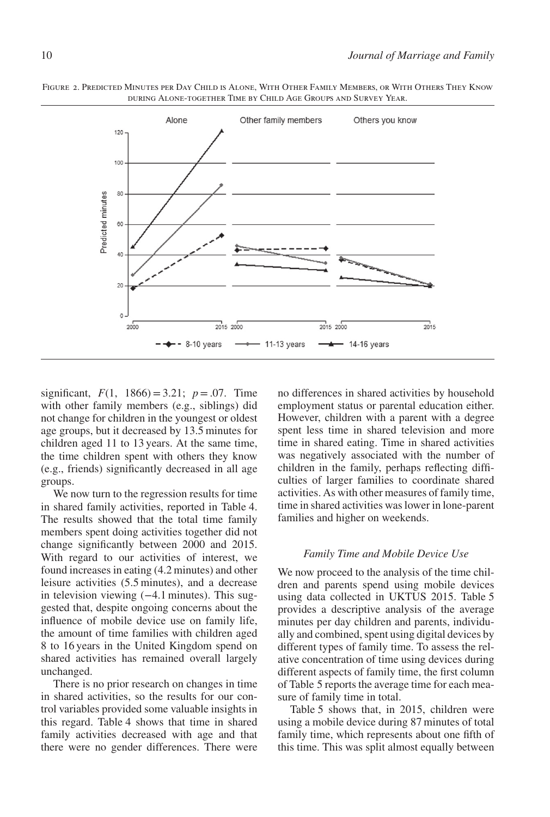Figure 2. Predicted Minutes per Day Child is Alone, With Other Family Members, or With Others They Know during Alone-together Time by Child Age Groups and Survey Year.



significant,  $F(1, 1866) = 3.21$ ;  $p = .07$ . Time with other family members (e.g., siblings) did not change for children in the youngest or oldest age groups, but it decreased by 13.5 minutes for children aged 11 to 13 years. At the same time, the time children spent with others they know (e.g., friends) significantly decreased in all age groups.

We now turn to the regression results for time in shared family activities, reported in Table 4. The results showed that the total time family members spent doing activities together did not change significantly between 2000 and 2015. With regard to our activities of interest, we found increases in eating (4.2 minutes) and other leisure activities (5.5 minutes), and a decrease in television viewing (−4.1 minutes). This suggested that, despite ongoing concerns about the influence of mobile device use on family life, the amount of time families with children aged 8 to 16 years in the United Kingdom spend on shared activities has remained overall largely unchanged.

There is no prior research on changes in time in shared activities, so the results for our control variables provided some valuable insights in this regard. Table 4 shows that time in shared family activities decreased with age and that there were no gender differences. There were

no differences in shared activities by household employment status or parental education either. However, children with a parent with a degree spent less time in shared television and more time in shared eating. Time in shared activities was negatively associated with the number of children in the family, perhaps reflecting difficulties of larger families to coordinate shared activities. As with other measures of family time, time in shared activities was lower in lone-parent families and higher on weekends.

## *Family Time and Mobile Device Use*

We now proceed to the analysis of the time children and parents spend using mobile devices using data collected in UKTUS 2015. Table 5 provides a descriptive analysis of the average minutes per day children and parents, individually and combined, spent using digital devices by different types of family time. To assess the relative concentration of time using devices during different aspects of family time, the first column of Table 5 reports the average time for each measure of family time in total.

Table 5 shows that, in 2015, children were using a mobile device during 87 minutes of total family time, which represents about one fifth of this time. This was split almost equally between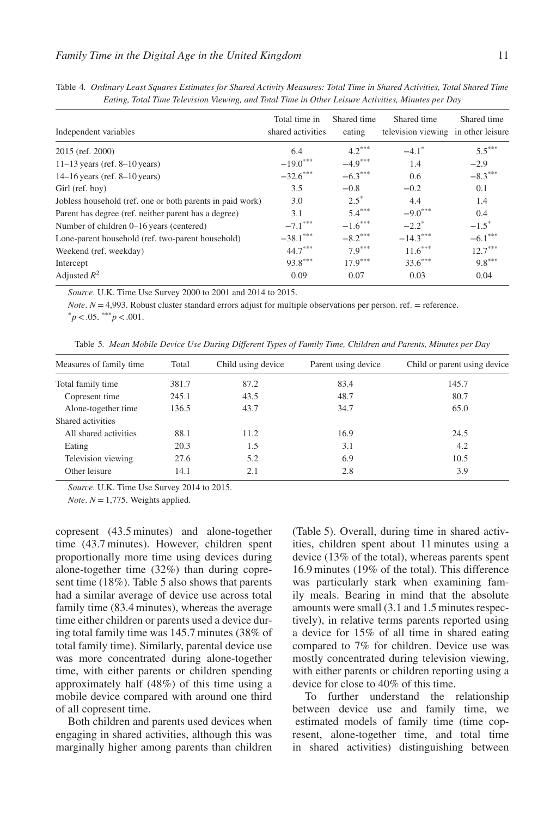| Independent variables                                     | Total time in<br>shared activities | Shared time<br>eating | Shared time<br>television viewing in other leisure | Shared time |
|-----------------------------------------------------------|------------------------------------|-----------------------|----------------------------------------------------|-------------|
| 2015 (ref. 2000)                                          | 6.4                                | $4.2***$              | $-4.1$ <sup>*</sup>                                | $5.5***$    |
| $11-13$ years (ref. 8-10 years)                           | $-19.0***$                         | $-4.9***$             | 1.4                                                | $-2.9$      |
| $14-16$ years (ref. $8-10$ years)                         | $-32.6***$                         | $-6.3***$             | 0.6                                                | $-8.3***$   |
| Girl (ref. boy)                                           | 3.5                                | $-0.8$                | $-0.2$                                             | 0.1         |
| Jobless household (ref. one or both parents in paid work) | 3.0                                | $2.5^*$               | 4.4                                                | 1.4         |
| Parent has degree (ref. neither parent has a degree)      | 3.1                                | $5.4***$              | $-9.0***$                                          | 0.4         |
| Number of children 0–16 years (centered)                  | $-7.1***$                          | $-1.6***$             | $-2.2^*$                                           | $-1.5^*$    |
| Lone-parent household (ref. two-parent household)         | $-38.1***$                         | $-8.2***$             | $-14.3***$                                         | $-6.1***$   |
| Weekend (ref. weekday)                                    | $44.7***$                          | $79***$               | $11.6***$                                          | $12.7***$   |
| Intercept                                                 | $93.8***$                          | $17.9***$             | $33.6***$                                          | $9.8***$    |
| Adjusted $R^2$                                            | 0.09                               | 0.07                  | 0.03                                               | 0.04        |

Table 4*. Ordinary Least Squares Estimates for Shared Activity Measures: Total Time in Shared Activities, Total Shared Time Eating, Total Time Television Viewing, and Total Time in Other Leisure Activities, Minutes per Day*

*Source*. U.K. Time Use Survey 2000 to 2001 and 2014 to 2015.

*Note*.  $N = 4,993$ . Robust cluster standard errors adjust for multiple observations per person. ref. = reference.  $p < .05.$  \*\*\**p* < .001.

Table 5*. Mean Mobile Device Use During Different Types of Family Time, Children and Parents, Minutes per Day*

| Measures of family time. | Total | Child using device | Parent using device | Child or parent using device |
|--------------------------|-------|--------------------|---------------------|------------------------------|
| Total family time        | 381.7 | 87.2               | 83.4                | 145.7                        |
| Copresent time           | 245.1 | 43.5               | 48.7                | 80.7                         |
| Alone-together time      | 136.5 | 43.7               | 34.7                | 65.0                         |
| Shared activities        |       |                    |                     |                              |
| All shared activities    | 88.1  | 11.2               | 16.9                | 24.5                         |
| Eating                   | 20.3  | 1.5                | 3.1                 | 4.2                          |
| Television viewing       | 27.6  | 5.2                | 6.9                 | 10.5                         |
| Other leisure            | 14.1  | 2.1                | 2.8                 | 3.9                          |

*Source*. U.K. Time Use Survey 2014 to 2015.

*Note*.  $N = 1,775$ . Weights applied.

copresent (43.5 minutes) and alone-together time (43.7 minutes). However, children spent proportionally more time using devices during alone-together time (32%) than during copresent time (18%). Table 5 also shows that parents had a similar average of device use across total family time (83.4 minutes), whereas the average time either children or parents used a device during total family time was 145.7 minutes (38% of total family time). Similarly, parental device use was more concentrated during alone-together time, with either parents or children spending approximately half (48%) of this time using a mobile device compared with around one third of all copresent time.

Both children and parents used devices when engaging in shared activities, although this was marginally higher among parents than children

(Table 5). Overall, during time in shared activities, children spent about 11 minutes using a device (13% of the total), whereas parents spent 16.9 minutes (19% of the total). This difference was particularly stark when examining family meals. Bearing in mind that the absolute amounts were small (3.1 and 1.5 minutes respectively), in relative terms parents reported using a device for 15% of all time in shared eating compared to 7% for children. Device use was mostly concentrated during television viewing, with either parents or children reporting using a device for close to 40% of this time.

To further understand the relationship between device use and family time, we estimated models of family time (time copresent, alone-together time, and total time in shared activities) distinguishing between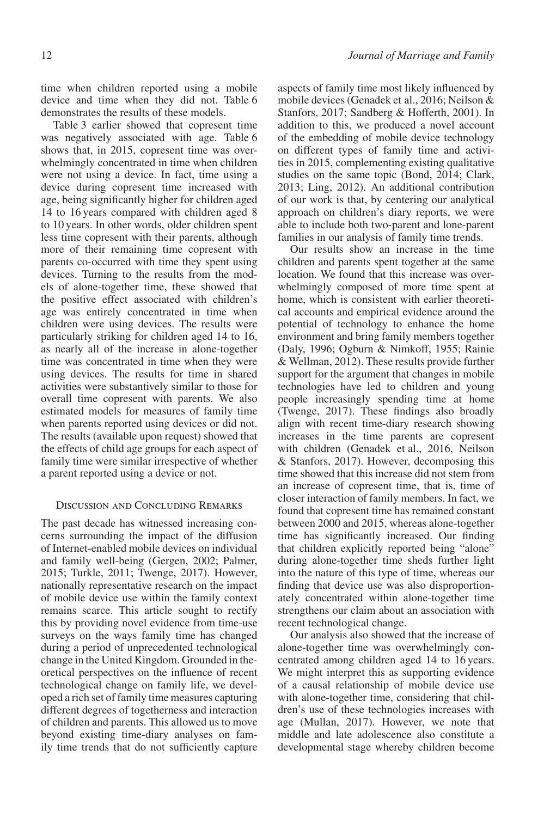time when children reported using a mobile device and time when they did not. Table 6 demonstrates the results of these models.

Table 3 earlier showed that copresent time was negatively associated with age. Table 6 shows that, in 2015, copresent time was overwhelmingly concentrated in time when children were not using a device. In fact, time using a device during copresent time increased with age, being significantly higher for children aged 14 to 16 years compared with children aged 8 to 10 years. In other words, older children spent less time copresent with their parents, although more of their remaining time copresent with parents co-occurred with time they spent using devices. Turning to the results from the models of alone-together time, these showed that the positive effect associated with children's age was entirely concentrated in time when children were using devices. The results were particularly striking for children aged 14 to 16, as nearly all of the increase in alone-together time was concentrated in time when they were using devices. The results for time in shared activities were substantively similar to those for overall time copresent with parents. We also estimated models for measures of family time when parents reported using devices or did not. The results (available upon request) showed that the effects of child age groups for each aspect of family time were similar irrespective of whether a parent reported using a device or not.

## Discussion and Concluding Remarks

The past decade has witnessed increasing concerns surrounding the impact of the diffusion of Internet-enabled mobile devices on individual and family well-being (Gergen, 2002; Palmer, 2015; Turkle, 2011; Twenge, 2017). However, nationally representative research on the impact of mobile device use within the family context remains scarce. This article sought to rectify this by providing novel evidence from time-use surveys on the ways family time has changed during a period of unprecedented technological change in the United Kingdom. Grounded in theoretical perspectives on the influence of recent technological change on family life, we developed a rich set of family time measures capturing different degrees of togetherness and interaction of children and parents. This allowed us to move beyond existing time-diary analyses on family time trends that do not sufficiently capture aspects of family time most likely influenced by mobile devices (Genadek et al., 2016; Neilson & Stanfors, 2017; Sandberg & Hofferth, 2001). In addition to this, we produced a novel account of the embedding of mobile device technology on different types of family time and activities in 2015, complementing existing qualitative studies on the same topic (Bond, 2014; Clark, 2013; Ling, 2012). An additional contribution of our work is that, by centering our analytical approach on children's diary reports, we were able to include both two-parent and lone-parent families in our analysis of family time trends.

Our results show an increase in the time children and parents spent together at the same location. We found that this increase was overwhelmingly composed of more time spent at home, which is consistent with earlier theoretical accounts and empirical evidence around the potential of technology to enhance the home environment and bring family members together (Daly, 1996; Ogburn & Nimkoff, 1955; Rainie & Wellman, 2012). These results provide further support for the argument that changes in mobile technologies have led to children and young people increasingly spending time at home (Twenge, 2017). These findings also broadly align with recent time-diary research showing increases in the time parents are copresent with children (Genadek et al., 2016, Neilson & Stanfors, 2017). However, decomposing this time showed that this increase did not stem from an increase of copresent time, that is, time of closer interaction of family members. In fact, we found that copresent time has remained constant between 2000 and 2015, whereas alone-together time has significantly increased. Our finding that children explicitly reported being "alone" during alone-together time sheds further light into the nature of this type of time, whereas our finding that device use was also disproportionately concentrated within alone-together time strengthens our claim about an association with recent technological change.

Our analysis also showed that the increase of alone-together time was overwhelmingly concentrated among children aged 14 to 16 years. We might interpret this as supporting evidence of a causal relationship of mobile device use with alone-together time, considering that children's use of these technologies increases with age (Mullan, 2017). However, we note that middle and late adolescence also constitute a developmental stage whereby children become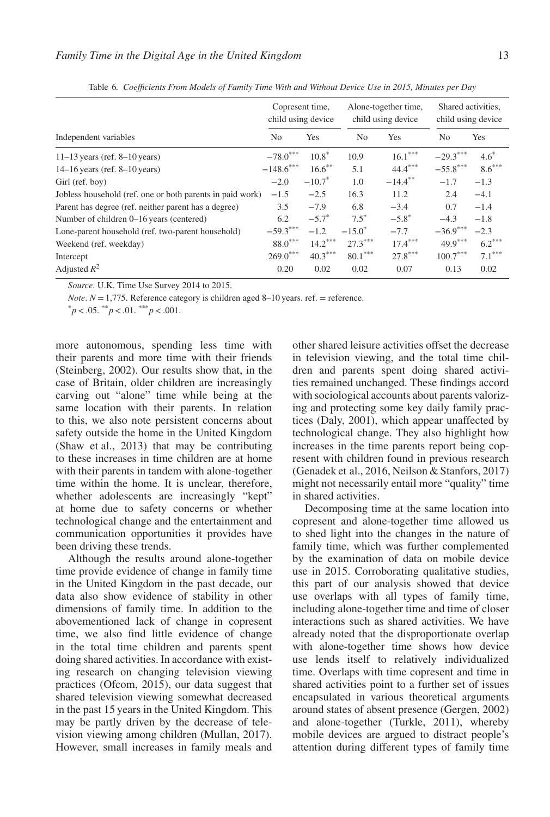|                                                           | Copresent time,<br>child using device |           | Alone-together time,<br>child using device |            | Shared activities,<br>child using device |          |
|-----------------------------------------------------------|---------------------------------------|-----------|--------------------------------------------|------------|------------------------------------------|----------|
| Independent variables                                     | N <sub>0</sub>                        | Yes       | N <sub>0</sub>                             | Yes        | N0                                       | Yes      |
| $11-13$ years (ref. 8-10 years)                           | $-78.0***$                            | $10.8^*$  | 10.9                                       | $16.1***$  | $-29.3***$                               | $4.6*$   |
| $14-16$ years (ref. $8-10$ years)                         | $-148.6$ ***                          | $16.6***$ | 5.1                                        | $44.4***$  | $-55.8***$                               | $8.6***$ |
| Girl (ref. boy)                                           | $-2.0$                                | $-10.7^*$ | 1.0                                        | $-14.4***$ | $-1.7$                                   | $-1.3$   |
| Jobless household (ref. one or both parents in paid work) | $-1.5$                                | $-2.5$    | 16.3                                       | 11.2       | 2.4                                      | $-4.1$   |
| Parent has degree (ref. neither parent has a degree)      | 3.5                                   | $-7.9$    | 6.8                                        | $-3.4$     | 0.7                                      | $-1.4$   |
| Number of children 0–16 years (centered)                  | 6.2                                   | $-5.7^*$  | $7.5^*$                                    | $-5.8^*$   | $-4.3$                                   | $-1.8$   |
| Lone-parent household (ref. two-parent household)         | $-59.3***$                            | $-1.2$    | $-15.0^*$                                  | $-7.7$     | $-36.9***$                               | $-2.3$   |
| Weekend (ref. weekday)                                    | $88.0***$                             | $14.2***$ | $27.3***$                                  | $17.4***$  | $49.9***$                                | $6.2***$ |
| Intercept                                                 | $269.0***$                            | $40.3***$ | $80.1***$                                  | $27.8***$  | $100.7***$                               | $7.1***$ |
| Adjusted $R^2$                                            | 0.20                                  | 0.02      | 0.02                                       | 0.07       | 0.13                                     | 0.02     |

Table 6*. Coefficients From Models of Family Time With and Without Device Use in 2015, Minutes per Day*

*Source*. U.K. Time Use Survey 2014 to 2015.

*Note*.  $N = 1,775$ . Reference category is children aged 8–10 years. ref. = reference.

\**p<*.05. \*\**p<*.01. \*\*\**p<*.001.

more autonomous, spending less time with their parents and more time with their friends (Steinberg, 2002). Our results show that, in the case of Britain, older children are increasingly carving out "alone" time while being at the same location with their parents. In relation to this, we also note persistent concerns about safety outside the home in the United Kingdom (Shaw et al., 2013) that may be contributing to these increases in time children are at home with their parents in tandem with alone-together time within the home. It is unclear, therefore, whether adolescents are increasingly "kept" at home due to safety concerns or whether technological change and the entertainment and communication opportunities it provides have been driving these trends.

Although the results around alone-together time provide evidence of change in family time in the United Kingdom in the past decade, our data also show evidence of stability in other dimensions of family time. In addition to the abovementioned lack of change in copresent time, we also find little evidence of change in the total time children and parents spent doing shared activities. In accordance with existing research on changing television viewing practices (Ofcom, 2015), our data suggest that shared television viewing somewhat decreased in the past 15 years in the United Kingdom. This may be partly driven by the decrease of television viewing among children (Mullan, 2017). However, small increases in family meals and other shared leisure activities offset the decrease in television viewing, and the total time children and parents spent doing shared activities remained unchanged. These findings accord with sociological accounts about parents valorizing and protecting some key daily family practices (Daly, 2001), which appear unaffected by technological change. They also highlight how increases in the time parents report being copresent with children found in previous research (Genadek et al., 2016, Neilson & Stanfors, 2017) might not necessarily entail more "quality" time in shared activities.

Decomposing time at the same location into copresent and alone-together time allowed us to shed light into the changes in the nature of family time, which was further complemented by the examination of data on mobile device use in 2015. Corroborating qualitative studies, this part of our analysis showed that device use overlaps with all types of family time, including alone-together time and time of closer interactions such as shared activities. We have already noted that the disproportionate overlap with alone-together time shows how device use lends itself to relatively individualized time. Overlaps with time copresent and time in shared activities point to a further set of issues encapsulated in various theoretical arguments around states of absent presence (Gergen, 2002) and alone-together (Turkle, 2011), whereby mobile devices are argued to distract people's attention during different types of family time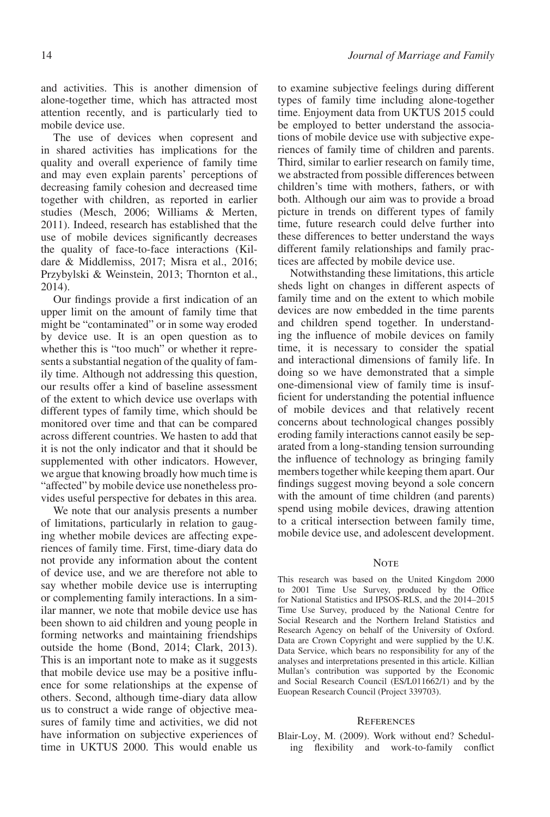and activities. This is another dimension of alone-together time, which has attracted most attention recently, and is particularly tied to mobile device use.

The use of devices when copresent and in shared activities has implications for the quality and overall experience of family time and may even explain parents' perceptions of decreasing family cohesion and decreased time together with children, as reported in earlier studies (Mesch, 2006; Williams & Merten, 2011). Indeed, research has established that the use of mobile devices significantly decreases the quality of face-to-face interactions (Kildare & Middlemiss, 2017; Misra et al., 2016; Przybylski & Weinstein, 2013; Thornton et al., 2014).

Our findings provide a first indication of an upper limit on the amount of family time that might be "contaminated" or in some way eroded by device use. It is an open question as to whether this is "too much" or whether it represents a substantial negation of the quality of family time. Although not addressing this question, our results offer a kind of baseline assessment of the extent to which device use overlaps with different types of family time, which should be monitored over time and that can be compared across different countries. We hasten to add that it is not the only indicator and that it should be supplemented with other indicators. However, we argue that knowing broadly how much time is "affected" by mobile device use nonetheless provides useful perspective for debates in this area.

We note that our analysis presents a number of limitations, particularly in relation to gauging whether mobile devices are affecting experiences of family time. First, time-diary data do not provide any information about the content of device use, and we are therefore not able to say whether mobile device use is interrupting or complementing family interactions. In a similar manner, we note that mobile device use has been shown to aid children and young people in forming networks and maintaining friendships outside the home (Bond, 2014; Clark, 2013). This is an important note to make as it suggests that mobile device use may be a positive influence for some relationships at the expense of others. Second, although time-diary data allow us to construct a wide range of objective measures of family time and activities, we did not have information on subjective experiences of time in UKTUS 2000. This would enable us to examine subjective feelings during different types of family time including alone-together time. Enjoyment data from UKTUS 2015 could be employed to better understand the associations of mobile device use with subjective experiences of family time of children and parents. Third, similar to earlier research on family time, we abstracted from possible differences between children's time with mothers, fathers, or with both. Although our aim was to provide a broad picture in trends on different types of family time, future research could delve further into these differences to better understand the ways different family relationships and family practices are affected by mobile device use.

Notwithstanding these limitations, this article sheds light on changes in different aspects of family time and on the extent to which mobile devices are now embedded in the time parents and children spend together. In understanding the influence of mobile devices on family time, it is necessary to consider the spatial and interactional dimensions of family life. In doing so we have demonstrated that a simple one-dimensional view of family time is insufficient for understanding the potential influence of mobile devices and that relatively recent concerns about technological changes possibly eroding family interactions cannot easily be separated from a long-standing tension surrounding the influence of technology as bringing family members together while keeping them apart. Our findings suggest moving beyond a sole concern with the amount of time children (and parents) spend using mobile devices, drawing attention to a critical intersection between family time, mobile device use, and adolescent development.

### **NOTE**

This research was based on the United Kingdom 2000 to 2001 Time Use Survey, produced by the Office for National Statistics and IPSOS-RLS, and the 2014–2015 Time Use Survey, produced by the National Centre for Social Research and the Northern Ireland Statistics and Research Agency on behalf of the University of Oxford. Data are Crown Copyright and were supplied by the U.K. Data Service, which bears no responsibility for any of the analyses and interpretations presented in this article. Killian Mullan's contribution was supported by the Economic and Social Research Council (ES/L011662/1) and by the Euopean Research Council (Project 339703).

#### References

Blair-Loy, M. (2009). Work without end? Scheduling flexibility and work-to-family conflict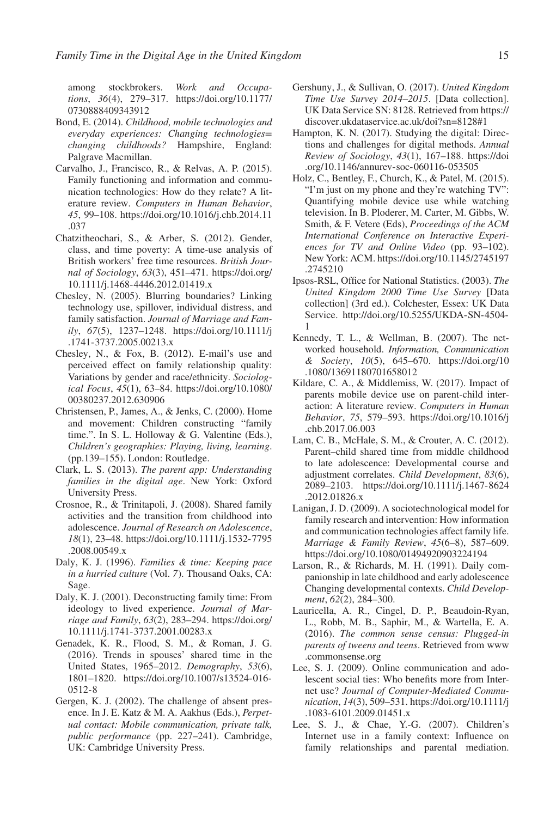among stockbrokers. *Work and Occupations*, *36*(4), 279–317. [https://doi.org/10.1177/](https://doi.org/10.1177/0730888409343912) [0730888409343912](https://doi.org/10.1177/0730888409343912)

- Bond, E. (2014). *Childhood, mobile technologies and everyday experiences: Changing technologies*= *changing childhoods?* Hampshire, England: Palgrave Macmillan.
- Carvalho, J., Francisco, R., & Relvas, A. P. (2015). Family functioning and information and communication technologies: How do they relate? A literature review. *Computers in Human Behavior*, *45*, 99–108. [https://doi.org/10.1016/j.chb.2014.11](https://doi.org/10.1016/j.chb.2014.11.037) [.037](https://doi.org/10.1016/j.chb.2014.11.037)
- Chatzitheochari, S., & Arber, S. (2012). Gender, class, and time poverty: A time-use analysis of British workers' free time resources. *British Journal of Sociology*, *63*(3), 451–471. [https://doi.org/](https://doi.org/10.1111/j.1468-4446.2012.01419.x) [10.1111/j.1468-4446.2012.01419.x](https://doi.org/10.1111/j.1468-4446.2012.01419.x)
- Chesley, N. (2005). Blurring boundaries? Linking technology use, spillover, individual distress, and family satisfaction. *Journal of Marriage and Family*, *67*(5), 1237–1248. [https://doi.org/10.1111/j](https://doi.org/10.1111/j.1741-3737.2005.00213.x) [.1741-3737.2005.00213.x](https://doi.org/10.1111/j.1741-3737.2005.00213.x)
- Chesley, N., & Fox, B. (2012). E-mail's use and perceived effect on family relationship quality: Variations by gender and race/ethnicity. *Sociological Focus*, *45*(1), 63–84. [https://doi.org/10.1080/](https://doi.org/10.1080/00380237.2012.630906) [00380237.2012.630906](https://doi.org/10.1080/00380237.2012.630906)
- Christensen, P., James, A., & Jenks, C. (2000). Home and movement: Children constructing "family time.". In S. L. Holloway & G. Valentine (Eds.), *Children's geographies: Playing, living, learning*. (pp.139–155). London: Routledge.
- Clark, L. S. (2013). *The parent app: Understanding families in the digital age*. New York: Oxford University Press.
- Crosnoe, R., & Trinitapoli, J. (2008). Shared family activities and the transition from childhood into adolescence. *Journal of Research on Adolescence*, *18*(1), 23–48. [https://doi.org/10.1111/j.1532-7795](https://doi.org/10.1111/j.1532-7795.2008.00549.x) [.2008.00549.x](https://doi.org/10.1111/j.1532-7795.2008.00549.x)
- Daly, K. J. (1996). *Families & time: Keeping pace in a hurried culture* (Vol. *7*). Thousand Oaks, CA: Sage.
- Daly, K. J. (2001). Deconstructing family time: From ideology to lived experience. *Journal of Marriage and Family*, *63*(2), 283–294. [https://doi.org/](https://doi.org/10.1111/j.1741-3737.2001.00283.x) [10.1111/j.1741-3737.2001.00283.x](https://doi.org/10.1111/j.1741-3737.2001.00283.x)
- Genadek, K. R., Flood, S. M., & Roman, J. G. (2016). Trends in spouses' shared time in the United States, 1965–2012. *Demography*, *53*(6), 1801–1820. [https://doi.org/10.1007/s13524-016-](https://doi.org/10.1007/s13524-016-0512-8) [0512-8](https://doi.org/10.1007/s13524-016-0512-8)
- Gergen, K. J. (2002). The challenge of absent presence. In J. E. Katz & M. A. Aakhus (Eds.), *Perpetual contact: Mobile communication, private talk, public performance* (pp. 227–241). Cambridge, UK: Cambridge University Press.
- Gershuny, J., & Sullivan, O. (2017). *United Kingdom Time Use Survey 2014–2015*. [Data collection]. UK Data Service SN: 8128. Retrieved from [https://](https://discover.ukdataservice.ac.uk/doi?sn=8128#1) [discover.ukdataservice.ac.uk/doi?sn=8128#1](https://discover.ukdataservice.ac.uk/doi?sn=8128#1)
- Hampton, K. N. (2017). Studying the digital: Directions and challenges for digital methods. *Annual Review of Sociology*, *43*(1), 167–188. [https://doi](https://doi.org/10.1146/annurev-soc-060116-053505) [.org/10.1146/annurev-soc-060116-053505](https://doi.org/10.1146/annurev-soc-060116-053505)
- Holz, C., Bentley, F., Church, K., & Patel, M. (2015). "I'm just on my phone and they're watching TV": Quantifying mobile device use while watching television. In B. Ploderer, M. Carter, M. Gibbs, W. Smith, & F. Vetere (Eds), *Proceedings of the ACM International Conference on Interactive Experiences for TV and Online Video* (pp. 93–102). New York: ACM. [https://doi.org/10.1145/2745197](https://doi.org/10.1145/2745197.2745210) [.2745210](https://doi.org/10.1145/2745197.2745210)
- Ipsos-RSL, Office for National Statistics. (2003). *The United Kingdom 2000 Time Use Survey* [Data collection] (3rd ed.). Colchester, Essex: UK Data Service. [http://doi.org/10.5255/UKDA-SN-4504-](http://doi.org/10.5255/UKDA-SN-4504-1) [1](http://doi.org/10.5255/UKDA-SN-4504-1)
- Kennedy, T. L., & Wellman, B. (2007). The networked household. *Information, Communication & Society*, *10*(5), 645–670. [https://doi.org/10](https://doi.org/10.1080/13691180701658012) [.1080/13691180701658012](https://doi.org/10.1080/13691180701658012)
- Kildare, C. A., & Middlemiss, W. (2017). Impact of parents mobile device use on parent-child interaction: A literature review. *Computers in Human Behavior*, *75*, 579–593. [https://doi.org/10.1016/j](https://doi.org/10.1016/j.chb.2017.06.003) [.chb.2017.06.003](https://doi.org/10.1016/j.chb.2017.06.003)
- Lam, C. B., McHale, S. M., & Crouter, A. C. (2012). Parent–child shared time from middle childhood to late adolescence: Developmental course and adjustment correlates. *Child Development*, *83*(6), 2089–2103. [https://doi.org/10.1111/j.1467-8624](https://doi.org/10.1111/j.1467-8624.2012.01826.x) [.2012.01826.x](https://doi.org/10.1111/j.1467-8624.2012.01826.x)
- Lanigan, J. D. (2009). A sociotechnological model for family research and intervention: How information and communication technologies affect family life. *Marriage & Family Review*, *45*(6–8), 587–609. <https://doi.org/10.1080/01494920903224194>
- Larson, R., & Richards, M. H. (1991). Daily companionship in late childhood and early adolescence Changing developmental contexts. *Child Development*, *62*(2), 284–300.
- Lauricella, A. R., Cingel, D. P., Beaudoin-Ryan, L., Robb, M. B., Saphir, M., & Wartella, E. A. (2016). *The common sense census: Plugged-in parents of tweens and teens*. Retrieved from [www](http://www.commonsense.org) [.commonsense.org](http://www.commonsense.org)
- Lee, S. J. (2009). Online communication and adolescent social ties: Who benefits more from Internet use? *Journal of Computer-Mediated Communication*, *14*(3), 509–531. [https://doi.org/10.1111/j](https://doi.org/10.1111/j.1083-6101.2009.01451.x) [.1083-6101.2009.01451.x](https://doi.org/10.1111/j.1083-6101.2009.01451.x)
- Lee, S. J., & Chae, Y.-G. (2007). Children's Internet use in a family context: Influence on family relationships and parental mediation.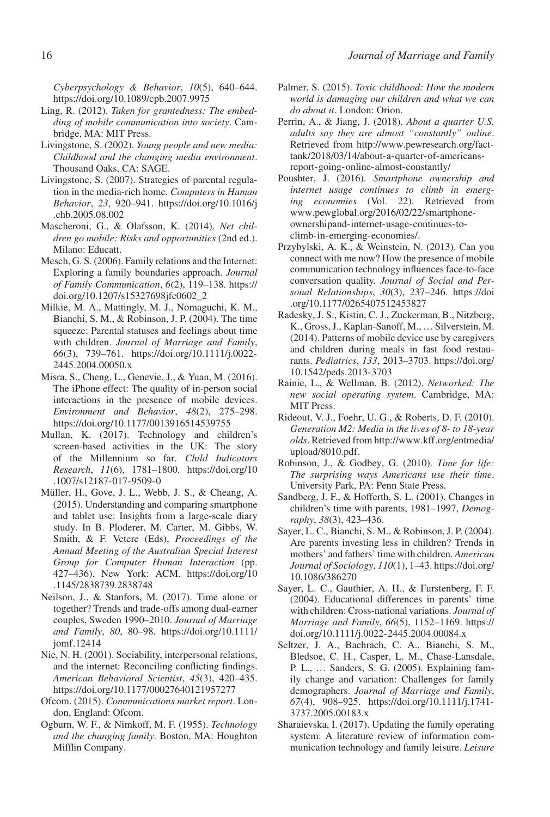*Cyberpsychology & Behavior*, *10*(5), 640–644. <https://doi.org/10.1089/cpb.2007.9975>

- Ling, R. (2012). *Taken for grantedness: The embedding of mobile communication into society*. Cambridge, MA: MIT Press.
- Livingstone, S. (2002). *Young people and new media: Childhood and the changing media environment*. Thousand Oaks, CA: SAGE.
- Livingstone, S. (2007). Strategies of parental regulation in the media-rich home. *Computers in Human Behavior*, *23*, 920–941. [https://doi.org/10.1016/j](https://doi.org/10.1016/j.chb.2005.08.002) [.chb.2005.08.002](https://doi.org/10.1016/j.chb.2005.08.002)
- Mascheroni, G., & Olafsson, K. (2014). *Net children go mobile: Risks and opportunities* (2nd ed.). Milano: Educatt.
- Mesch, G. S. (2006). Family relations and the Internet: Exploring a family boundaries approach. *Journal of Family Communication*, *6*(2), 119–138. [https://](https://doi.org/10.1207/s15327698jfc0602_2) [doi.org/10.1207/s15327698jfc0602\\_2](https://doi.org/10.1207/s15327698jfc0602_2)
- Milkie, M. A., Mattingly, M. J., Nomaguchi, K. M., Bianchi, S. M., & Robinson, J. P. (2004). The time squeeze: Parental statuses and feelings about time with children. *Journal of Marriage and Family*, *66*(3), 739–761. [https://doi.org/10.1111/j.0022-](https://doi.org/10.1111/j.0022-2445.2004.00050.x) [2445.2004.00050.x](https://doi.org/10.1111/j.0022-2445.2004.00050.x)
- Misra, S., Cheng, L., Genevie, J., & Yuan, M. (2016). The iPhone effect: The quality of in-person social interactions in the presence of mobile devices. *Environment and Behavior*, *48*(2), 275–298. <https://doi.org/10.1177/0013916514539755>
- Mullan, K. (2017). Technology and children's screen-based activities in the UK: The story of the Millennium so far. *Child Indicators Research*, *11*(6), 1781–1800. [https://doi.org/10](https://doi.org/10.1007/s12187-017-9509-0) [.1007/s12187-017-9509-0](https://doi.org/10.1007/s12187-017-9509-0)
- Müller, H., Gove, J. L., Webb, J. S., & Cheang, A. (2015). Understanding and comparing smartphone and tablet use: Insights from a large-scale diary study. In B. Ploderer, M. Carter, M. Gibbs, W. Smith, & F. Vetere (Eds), *Proceedings of the Annual Meeting of the Australian Special Interest Group for Computer Human Interaction* (pp. 427–436). New York: ACM. [https://doi.org/10](https://doi.org/10.1145/2838739.2838748) [.1145/2838739.2838748](https://doi.org/10.1145/2838739.2838748)
- Neilson, J., & Stanfors, M. (2017). Time alone or together? Trends and trade-offs among dual-earner couples, Sweden 1990–2010. *Journal of Marriage and Family*, *80*, 80–98. [https://doi.org/10.1111/](https://doi.org/10.1111/jomf.12414) [jomf.12414](https://doi.org/10.1111/jomf.12414)
- Nie, N. H. (2001). Sociability, interpersonal relations, and the internet: Reconciling conflicting findings. *American Behavioral Scientist*, *45*(3), 420–435. <https://doi.org/10.1177/00027640121957277>
- Ofcom. (2015). *Communications market report*. London, England: Ofcom.
- Ogburn, W. F., & Nimkoff, M. F. (1955). *Technology and the changing family*. Boston, MA: Houghton Mifflin Company.
- Palmer, S. (2015). *Toxic childhood: How the modern world is damaging our children and what we can do about it*. London: Orion.
- Perrin, A., & Jiang, J. (2018). *About a quarter U.S. adults say they are almost "constantly" online*. Retrieved from [http://www.pewresearch.org/fact](http://www.pewresearch.org/fact-tank/2018/03/14/about-a-quarter-of-americans-report-going-online-almost-constantly/)[tank/2018/03/14/about-a-quarter-of-americans](http://www.pewresearch.org/fact-tank/2018/03/14/about-a-quarter-of-americans-report-going-online-almost-constantly/)[report-going-online-almost-constantly/](http://www.pewresearch.org/fact-tank/2018/03/14/about-a-quarter-of-americans-report-going-online-almost-constantly/)
- Poushter, J. (2016). *Smartphone ownership and internet usage continues to climb in emerging economies* (Vol. 22). Retrieved from [www.pewglobal.org/2016/02/22/smartphone](http://www.pewglobal.org/2016/02/22/smartphone-ownershipand-internet-usage-continues-to-climb-in-emerging-economies/)[ownershipand-internet-usage-continues-to](http://www.pewglobal.org/2016/02/22/smartphone-ownershipand-internet-usage-continues-to-climb-in-emerging-economies/)[climb-in-emerging-economies/.](http://www.pewglobal.org/2016/02/22/smartphone-ownershipand-internet-usage-continues-to-climb-in-emerging-economies/)
- Przybylski, A. K., & Weinstein, N. (2013). Can you connect with me now? How the presence of mobile communication technology influences face-to-face conversation quality. *Journal of Social and Personal Relationships*, *30*(3), 237–246. [https://doi](https://doi.org/10.1177/0265407512453827) [.org/10.1177/0265407512453827](https://doi.org/10.1177/0265407512453827)
- Radesky, J. S., Kistin, C. J., Zuckerman, B., Nitzberg, K., Gross, J., Kaplan-Sanoff, M., … Silverstein, M. (2014). Patterns of mobile device use by caregivers and children during meals in fast food restaurants. *Pediatrics*, *133*, 2013–3703. [https://doi.org/](https://doi.org/10.1542/peds.2013-3703) [10.1542/peds.2013-3703](https://doi.org/10.1542/peds.2013-3703)
- Rainie, L., & Wellman, B. (2012). *Networked: The new social operating system*. Cambridge, MA: MIT Press.
- Rideout, V. J., Foehr, U. G., & Roberts, D. F. (2010). *Generation M2: Media in the lives of 8- to 18-year olds*. Retrieved from [http://www.kff.org/entmedia/](http://www.kff.org/entmedia/upload/8010.pdf) [upload/8010.pdf.](http://www.kff.org/entmedia/upload/8010.pdf)
- Robinson, J., & Godbey, G. (2010). *Time for life: The surprising ways Americans use their time*. University Park, PA: Penn State Press.
- Sandberg, J. F., & Hofferth, S. L. (2001). Changes in children's time with parents, 1981–1997, *Demography*, *38*(3), 423–436.
- Sayer, L. C., Bianchi, S. M., & Robinson, J. P. (2004). Are parents investing less in children? Trends in mothers' and fathers' time with children. *American Journal of Sociology*, *110*(1), 1–43. [https://doi.org/](https://doi.org/10.1086/386270) [10.1086/386270](https://doi.org/10.1086/386270)
- Sayer, L. C., Gauthier, A. H., & Furstenberg, F. F. (2004). Educational differences in parents' time with children: Cross-national variations. *Journal of Marriage and Family*, *66*(5), 1152–1169. [https://](https://doi.org/10.1111/j.0022-2445.2004.00084.x) [doi.org/10.1111/j.0022-2445.2004.00084.x](https://doi.org/10.1111/j.0022-2445.2004.00084.x)
- Seltzer, J. A., Bachrach, C. A., Bianchi, S. M., Bledsoe, C. H., Casper, L. M., Chase-Lansdale, P. L., … Sanders, S. G. (2005). Explaining family change and variation: Challenges for family demographers. *Journal of Marriage and Family*, *67*(4), 908–925. [https://doi.org/10.1111/j.1741-](https://doi.org/10.1111/j.1741-3737.2005.00183.x) [3737.2005.00183.x](https://doi.org/10.1111/j.1741-3737.2005.00183.x)
- Sharaievska, I. (2017). Updating the family operating system: A literature review of information communication technology and family leisure. *Leisure*